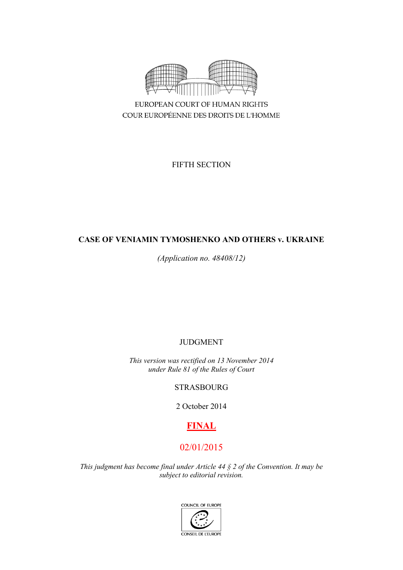

EUROPEAN COURT OF HUMAN RIGHTS COUR EUROPÉENNE DES DROITS DE L'HOMME

FIFTH SECTION

# **CASE OF VENIAMIN TYMOSHENKO AND OTHERS v. UKRAINE**

*(Application no. 48408/12)*

JUDGMENT

*This version was rectified on 13 November 2014 under Rule 81 of the Rules of Court*

STRASBOURG

2 October 2014

# **FINAL**

# 02/01/2015

*This judgment has become final under Article 44 § 2 of the Convention. It may be subject to editorial revision.*

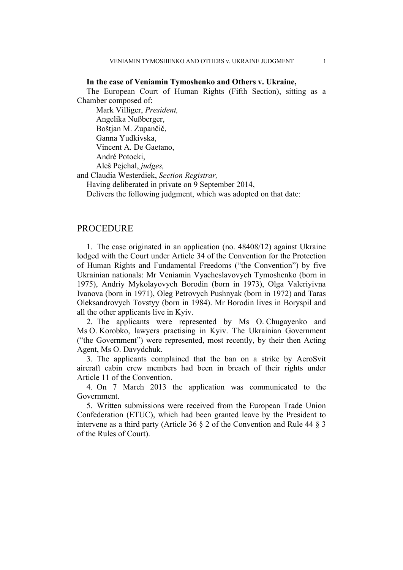## **In the case of Veniamin Tymoshenko and Others v. Ukraine,**

The European Court of Human Rights (Fifth Section), sitting as a Chamber composed of:

Mark Villiger, *President,* Angelika Nußberger, Boštjan M. Zupančič, Ganna Yudkivska, Vincent A. De Gaetano, André Potocki, Aleš Pejchal, *judges,*

and Claudia Westerdiek, *Section Registrar,*

Having deliberated in private on 9 September 2014,

Delivers the following judgment, which was adopted on that date:

# **PROCEDURE**

1. The case originated in an application (no. 48408/12) against Ukraine lodged with the Court under Article 34 of the Convention for the Protection of Human Rights and Fundamental Freedoms ("the Convention") by five Ukrainian nationals: Mr Veniamin Vyacheslavovych Tymoshenko (born in 1975), Andriy Mykolayovych Borodin (born in 1973), Olga Valeriyivna Ivanova (born in 1971), Oleg Petrovych Pushnyak (born in 1972) and Taras Oleksandrovych Tovstyy (born in 1984). Mr Borodin lives in Boryspil and all the other applicants live in Kyiv.

2. The applicants were represented by Ms O. Chugayenko and Ms O. Korobko, lawyers practising in Kyiv. The Ukrainian Government ("the Government") were represented, most recently, by their then Acting Agent, Ms O. Davydchuk.

3. The applicants complained that the ban on a strike by AeroSvit aircraft cabin crew members had been in breach of their rights under Article 11 of the Convention.

4. On 7 March 2013 the application was communicated to the Government.

5. Written submissions were received from the European Trade Union Confederation (ETUC), which had been granted leave by the President to intervene as a third party (Article 36 § 2 of the Convention and Rule 44 § 3 of the Rules of Court).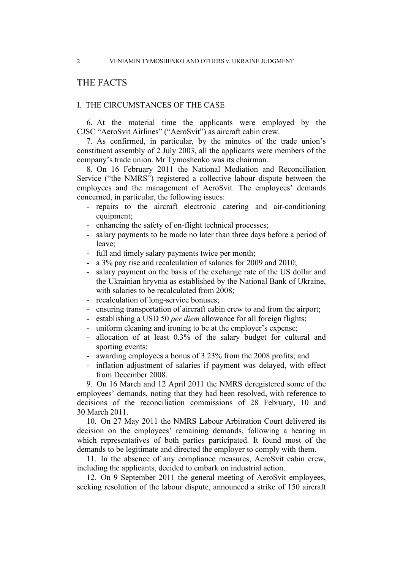# THE FACTS

## I. THE CIRCUMSTANCES OF THE CASE

6. At the material time the applicants were employed by the CJSC "AeroSvit Airlines" ("AeroSvit") as aircraft cabin crew.

7. As confirmed, in particular, by the minutes of the trade union's constituent assembly of 2 July 2003, all the applicants were members of the company's trade union. Mr Tymoshenko was its chairman.

8. On 16 February 2011 the National Mediation and Reconciliation Service ("the NMRS") registered a collective labour dispute between the employees and the management of AeroSvit. The employees' demands concerned, in particular, the following issues:

- repairs to the aircraft electronic catering and air-conditioning equipment;
- enhancing the safety of on-flight technical processes;
- salary payments to be made no later than three days before a period of leave;
- full and timely salary payments twice per month;
- a 3% pay rise and recalculation of salaries for 2009 and 2010;
- salary payment on the basis of the exchange rate of the US dollar and the Ukrainian hryvnia as established by the National Bank of Ukraine, with salaries to be recalculated from 2008;
- recalculation of long-service bonuses;
- ensuring transportation of aircraft cabin crew to and from the airport;
- establishing a USD 50 *per diem* allowance for all foreign flights;
- uniform cleaning and ironing to be at the employer's expense;
- allocation of at least  $0.3\%$  of the salary budget for cultural and sporting events;
- awarding employees a bonus of 3.23% from the 2008 profits; and
- inflation adjustment of salaries if payment was delayed, with effect from December 2008.

9. On 16 March and 12 April 2011 the NMRS deregistered some of the employees' demands, noting that they had been resolved, with reference to decisions of the reconciliation commissions of 28 February, 10 and 30 March 2011.

10. On 27 May 2011 the NMRS Labour Arbitration Court delivered its decision on the employees' remaining demands, following a hearing in which representatives of both parties participated. It found most of the demands to be legitimate and directed the employer to comply with them.

11. In the absence of any compliance measures, AeroSvit cabin crew, including the applicants, decided to embark on industrial action.

12. On 9 September 2011 the general meeting of AeroSvit employees, seeking resolution of the labour dispute, announced a strike of 150 aircraft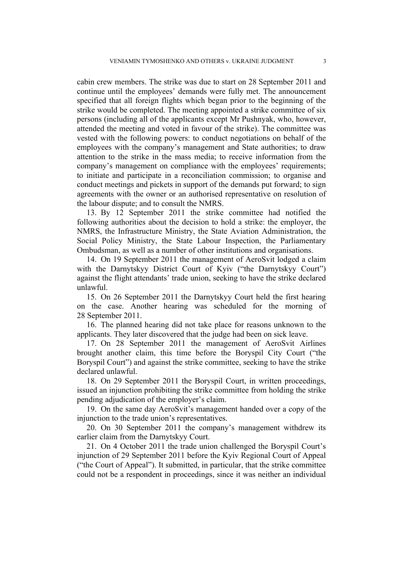cabin crew members. The strike was due to start on 28 September 2011 and continue until the employees' demands were fully met. The announcement specified that all foreign flights which began prior to the beginning of the strike would be completed. The meeting appointed a strike committee of six persons (including all of the applicants except Mr Pushnyak, who, however, attended the meeting and voted in favour of the strike). The committee was vested with the following powers: to conduct negotiations on behalf of the employees with the company's management and State authorities; to draw attention to the strike in the mass media; to receive information from the company's management on compliance with the employees' requirements; to initiate and participate in a reconciliation commission; to organise and conduct meetings and pickets in support of the demands put forward; to sign agreements with the owner or an authorised representative on resolution of the labour dispute; and to consult the NMRS.

13. By 12 September 2011 the strike committee had notified the following authorities about the decision to hold a strike: the employer, the NMRS, the Infrastructure Ministry, the State Aviation Administration, the Social Policy Ministry, the State Labour Inspection, the Parliamentary Ombudsman, as well as a number of other institutions and organisations.

14. On 19 September 2011 the management of AeroSvit lodged a claim with the Darnytskyy District Court of Kyiv ("the Darnytskyy Court") against the flight attendants' trade union, seeking to have the strike declared unlawful.

15. On 26 September 2011 the Darnytskyy Court held the first hearing on the case. Another hearing was scheduled for the morning of 28 September 2011.

16. The planned hearing did not take place for reasons unknown to the applicants. They later discovered that the judge had been on sick leave.

17. On 28 September 2011 the management of AeroSvit Airlines brought another claim, this time before the Boryspil City Court ("the Boryspil Court") and against the strike committee, seeking to have the strike declared unlawful.

18. On 29 September 2011 the Boryspil Court, in written proceedings, issued an injunction prohibiting the strike committee from holding the strike pending adjudication of the employer's claim.

19. On the same day AeroSvit's management handed over a copy of the injunction to the trade union's representatives.

20. On 30 September 2011 the company's management withdrew its earlier claim from the Darnytskyy Court.

21. On 4 October 2011 the trade union challenged the Boryspil Court's injunction of 29 September 2011 before the Kyiv Regional Court of Appeal ("the Court of Appeal"). It submitted, in particular, that the strike committee could not be a respondent in proceedings, since it was neither an individual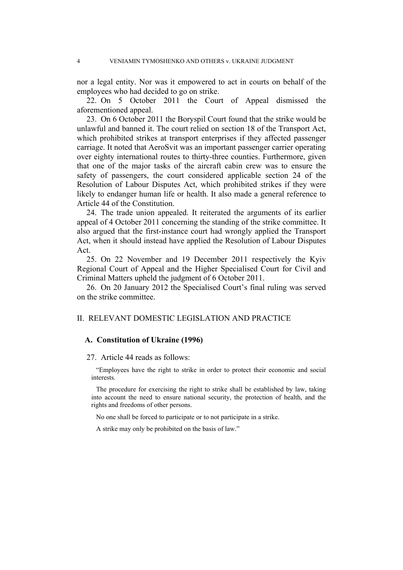nor a legal entity. Nor was it empowered to act in courts on behalf of the employees who had decided to go on strike.

22. On 5 October 2011 the Court of Appeal dismissed the aforementioned appeal.

23. On 6 October 2011 the Boryspil Court found that the strike would be unlawful and banned it. The court relied on section 18 of the Transport Act, which prohibited strikes at transport enterprises if they affected passenger carriage. It noted that AeroSvit was an important passenger carrier operating over eighty international routes to thirty-three counties. Furthermore, given that one of the major tasks of the aircraft cabin crew was to ensure the safety of passengers, the court considered applicable section 24 of the Resolution of Labour Disputes Act, which prohibited strikes if they were likely to endanger human life or health. It also made a general reference to Article 44 of the Constitution.

24. The trade union appealed. It reiterated the arguments of its earlier appeal of 4 October 2011 concerning the standing of the strike committee. It also argued that the first-instance court had wrongly applied the Transport Act, when it should instead have applied the Resolution of Labour Disputes Act.

25. On 22 November and 19 December 2011 respectively the Kyiv Regional Court of Appeal and the Higher Specialised Court for Civil and Criminal Matters upheld the judgment of 6 October 2011.

26. On 20 January 2012 the Specialised Court's final ruling was served on the strike committee.

## II. RELEVANT DOMESTIC LEGISLATION AND PRACTICE

## **A. Constitution of Ukraine (1996)**

#### 27. Article 44 reads as follows:

"Employees have the right to strike in order to protect their economic and social interests.

The procedure for exercising the right to strike shall be established by law, taking into account the need to ensure national security, the protection of health, and the rights and freedoms of other persons.

No one shall be forced to participate or to not participate in a strike.

A strike may only be prohibited on the basis of law."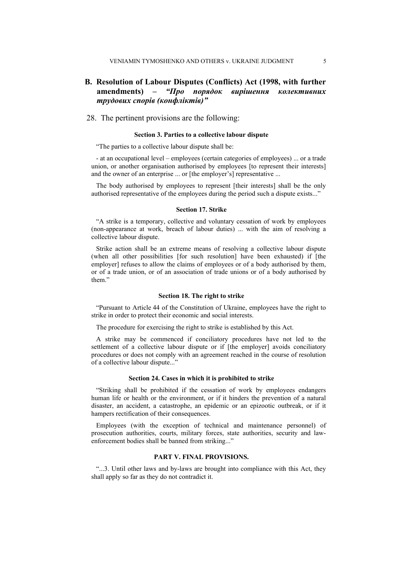# **B. Resolution of Labour Disputes (Conflicts) Act (1998, with further amendments) –** *"Про порядок вирішення колективних трудових спорів (конфліктів)"*

## 28. The pertinent provisions are the following:

#### **Section 3. Parties to a collective labour dispute**

"The parties to a collective labour dispute shall be:

- at an occupational level – employees (certain categories of employees) ... or a trade union, or another organisation authorised by employees [to represent their interests] and the owner of an enterprise ... or [the employer's] representative ...

The body authorised by employees to represent [their interests] shall be the only authorised representative of the employees during the period such a dispute exists..."

#### **Section 17. Strike**

"A strike is a temporary, collective and voluntary cessation of work by employees (non-appearance at work, breach of labour duties) ... with the aim of resolving a collective labour dispute.

Strike action shall be an extreme means of resolving a collective labour dispute (when all other possibilities [for such resolution] have been exhausted) if [the employer] refuses to allow the claims of employees or of a body authorised by them, or of a trade union, or of an association of trade unions or of a body authorised by them"

#### **Section 18. The right to strike**

"Pursuant to Article 44 of the Constitution of Ukraine, employees have the right to strike in order to protect their economic and social interests.

The procedure for exercising the right to strike is established by this Act.

A strike may be commenced if conciliatory procedures have not led to the settlement of a collective labour dispute or if [the employer] avoids conciliatory procedures or does not comply with an agreement reached in the course of resolution of a collective labour dispute..."

## **Section 24. Cases in which it is prohibited to strike**

"Striking shall be prohibited if the cessation of work by employees endangers human life or health or the environment, or if it hinders the prevention of a natural disaster, an accident, a catastrophe, an epidemic or an epizootic outbreak, or if it hampers rectification of their consequences.

Employees (with the exception of technical and maintenance personnel) of prosecution authorities, courts, military forces, state authorities, security and lawenforcement bodies shall be banned from striking..."

# **PART V. FINAL PROVISIONS.**

"...3. Until other laws and by-laws are brought into compliance with this Act, they shall apply so far as they do not contradict it.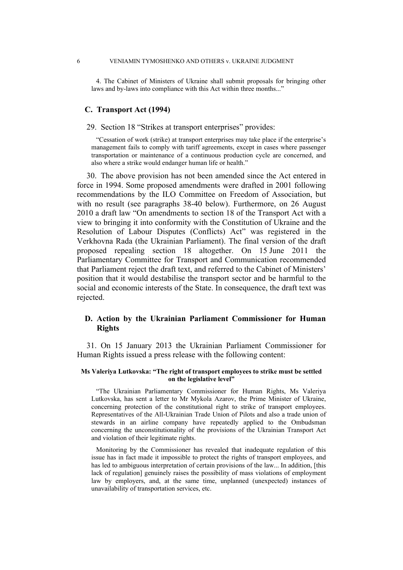4. The Cabinet of Ministers of Ukraine shall submit proposals for bringing other laws and by-laws into compliance with this Act within three months..."

## **C. Transport Act (1994)**

### 29. Section 18 "Strikes at transport enterprises" provides:

"Cessation of work (strike) at transport enterprises may take place if the enterprise's management fails to comply with tariff agreements, except in cases where passenger transportation or maintenance of a continuous production cycle are concerned, and also where a strike would endanger human life or health."

30. The above provision has not been amended since the Act entered in force in 1994. Some proposed amendments were drafted in 2001 following recommendations by the ILO Committee on Freedom of Association, but with no result (see paragraphs 38-40 below). Furthermore, on 26 August 2010 a draft law "On amendments to section 18 of the Transport Act with a view to bringing it into conformity with the Constitution of Ukraine and the Resolution of Labour Disputes (Conflicts) Act" was registered in the Verkhovna Rada (the Ukrainian Parliament). The final version of the draft proposed repealing section 18 altogether. On 15 June 2011 the Parliamentary Committee for Transport and Communication recommended that Parliament reject the draft text, and referred to the Cabinet of Ministers' position that it would destabilise the transport sector and be harmful to the social and economic interests of the State. In consequence, the draft text was rejected.

# **D. Action by the Ukrainian Parliament Commissioner for Human Rights**

31. On 15 January 2013 the Ukrainian Parliament Commissioner for Human Rights issued a press release with the following content:

#### **Ms Valeriya Lutkovska: "The right of transport employees to strike must be settled on the legislative level"**

"The Ukrainian Parliamentary Commissioner for Human Rights, Ms Valeriya Lutkovska, has sent a letter to Mr Mykola Azarov, the Prime Minister of Ukraine, concerning protection of the constitutional right to strike of transport employees. Representatives of the All-Ukrainian Trade Union of Pilots and also a trade union of stewards in an airline company have repeatedly applied to the Ombudsman concerning the unconstitutionality of the provisions of the Ukrainian Transport Act and violation of their legitimate rights.

Monitoring by the Commissioner has revealed that inadequate regulation of this issue has in fact made it impossible to protect the rights of transport employees, and has led to ambiguous interpretation of certain provisions of the law... In addition, [this lack of regulation] genuinely raises the possibility of mass violations of employment law by employers, and, at the same time, unplanned (unexpected) instances of unavailability of transportation services, etc.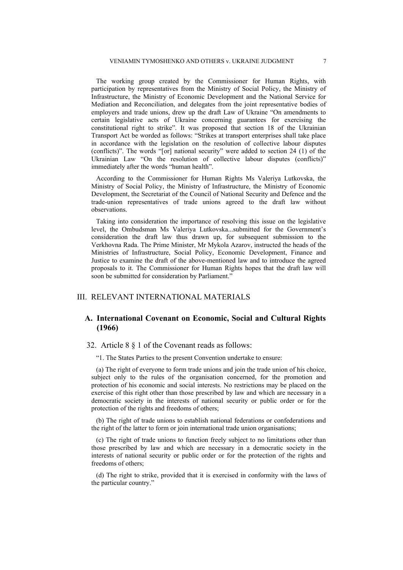The working group created by the Commissioner for Human Rights, with participation by representatives from the Ministry of Social Policy, the Ministry of Infrastructure, the Ministry of Economic Development and the National Service for Mediation and Reconciliation, and delegates from the joint representative bodies of employers and trade unions, drew up the draft Law of Ukraine "On amendments to certain legislative acts of Ukraine concerning guarantees for exercising the constitutional right to strike". It was proposed that section 18 of the Ukrainian Transport Act be worded as follows: "Strikes at transport enterprises shall take place in accordance with the legislation on the resolution of collective labour disputes (conflicts)". The words "[or] national security" were added to section 24 (1) of the Ukrainian Law "On the resolution of collective labour disputes (conflicts)" immediately after the words "human health".

According to the Commissioner for Human Rights Ms Valeriya Lutkovska, the Ministry of Social Policy, the Ministry of Infrastructure, the Ministry of Economic Development, the Secretariat of the Council of National Security and Defence and the trade-union representatives of trade unions agreed to the draft law without observations.

Taking into consideration the importance of resolving this issue on the legislative level, the Ombudsman Ms Valeriya Lutkovska...submitted for the Government's consideration the draft law thus drawn up, for subsequent submission to the Verkhovna Rada. The Prime Minister, Mr Mykola Azarov, instructed the heads of the Ministries of Infrastructure, Social Policy, Economic Development, Finance and Justice to examine the draft of the above-mentioned law and to introduce the agreed proposals to it. The Commissioner for Human Rights hopes that the draft law will soon be submitted for consideration by Parliament."

## III. RELEVANT INTERNATIONAL MATERIALS

## **A. International Covenant on Economic, Social and Cultural Rights (1966)**

## 32. Article 8 § 1 of the Covenant reads as follows:

"1. The States Parties to the present Convention undertake to ensure:

(a) The right of everyone to form trade unions and join the trade union of his choice, subject only to the rules of the organisation concerned, for the promotion and protection of his economic and social interests. No restrictions may be placed on the exercise of this right other than those prescribed by law and which are necessary in a democratic society in the interests of national security or public order or for the protection of the rights and freedoms of others;

(b) The right of trade unions to establish national federations or confederations and the right of the latter to form or join international trade union organisations;

(c) The right of trade unions to function freely subject to no limitations other than those prescribed by law and which are necessary in a democratic society in the interests of national security or public order or for the protection of the rights and freedoms of others;

(d) The right to strike, provided that it is exercised in conformity with the laws of the particular country."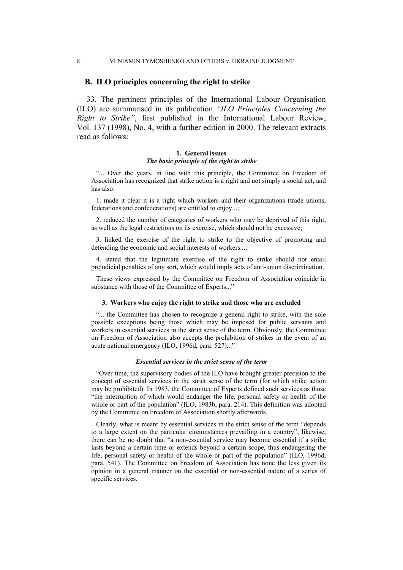#### 8 VENIAMIN TYMOSHENKO AND OTHERS v. UKRAINE JUDGMENT

### **B. ILO principles concerning the right to strike**

33. The pertinent principles of the International Labour Organisation (ILO) are summarised in its publication *"ILO Principles Concerning the Right to Strike"*, first published in the International Labour Review, Vol. 137 (1998), No. 4, with a further edition in 2000. The relevant extracts read as follows:

#### **1. General issues** *The basic principle of the right to strike*

"... Over the years, in line with this principle, the Committee on Freedom of Association has recognized that strike action is a right and not simply a social act, and has also:

1. made it clear it is a right which workers and their organizations (trade unions, federations and confederations) are entitled to enjoy...;

2. reduced the number of categories of workers who may be deprived of this right, as well as the legal restrictions on its exercise, which should not be excessive;

3. linked the exercise of the right to strike to the objective of promoting and defending the economic and social interests of workers...;

4. stated that the legitimate exercise of the right to strike should not entail prejudicial penalties of any sort, which would imply acts of anti-union discrimination.

These views expressed by the Committee on Freedom of Association coincide in substance with those of the Committee of Experts..."

#### **3. Workers who enjoy the right to strike and those who are excluded**

"... the Committee has chosen to recognize a general right to strike, with the sole possible exceptions being those which may be imposed for public servants and workers in essential services in the strict sense of the term. Obviously, the Committee on Freedom of Association also accepts the prohibition of strikes in the event of an acute national emergency (ILO, 1996d, para. 527)..."

#### *Essential services in the strict sense of the term*

"Over time, the supervisory bodies of the ILO have brought greater precision to the concept of essential services in the strict sense of the term (for which strike action may be prohibited). In 1983, the Committee of Experts defined such services as those "the interruption of which would endanger the life, personal safety or health of the whole or part of the population" (ILO, 1983b, para. 214). This definition was adopted by the Committee on Freedom of Association shortly afterwards.

Clearly, what is meant by essential services in the strict sense of the term "depends to a large extent on the particular circumstances prevailing in a country"; likewise, there can be no doubt that "a non-essential service may become essential if a strike lasts beyond a certain time or extends beyond a certain scope, thus endangering the life, personal safety or health of the whole or part of the population" (ILO, 1996d, para. 541). The Committee on Freedom of Association has none the less given its opinion in a general manner on the essential or non-essential nature of a series of specific services.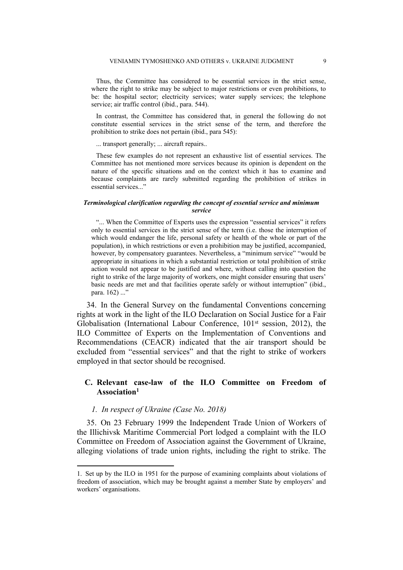Thus, the Committee has considered to be essential services in the strict sense, where the right to strike may be subject to major restrictions or even prohibitions, to be: the hospital sector; electricity services; water supply services; the telephone service; air traffic control (ibid., para. 544).

In contrast, the Committee has considered that, in general the following do not constitute essential services in the strict sense of the term, and therefore the prohibition to strike does not pertain (ibid., para 545):

... transport generally; ... aircraft repairs..

These few examples do not represent an exhaustive list of essential services. The Committee has not mentioned more services because its opinion is dependent on the nature of the specific situations and on the context which it has to examine and because complaints are rarely submitted regarding the prohibition of strikes in essential services..."

#### *Terminological clarification regarding the concept of essential service and minimum service*

"... When the Committee of Experts uses the expression "essential services" it refers only to essential services in the strict sense of the term (i.e. those the interruption of which would endanger the life, personal safety or health of the whole or part of the population), in which restrictions or even a prohibition may be justified, accompanied, however, by compensatory guarantees. Nevertheless, a "minimum service" "would be appropriate in situations in which a substantial restriction or total prohibition of strike action would not appear to be justified and where, without calling into question the right to strike of the large majority of workers, one might consider ensuring that users' basic needs are met and that facilities operate safely or without interruption" (ibid., para. 162) ..."

34. In the General Survey on the fundamental Conventions concerning rights at work in the light of the ILO Declaration on Social Justice for a Fair Globalisation (International Labour Conference, 101<sup>st</sup> session, 2012), the ILO Committee of Experts on the Implementation of Conventions and Recommendations (CEACR) indicated that the air transport should be excluded from "essential services" and that the right to strike of workers employed in that sector should be recognised.

# **C. Relevant case-law of the ILO Committee on Freedom of Association<sup>1</sup>**

## *1. In respect of Ukraine (Case No. 2018)*

35. On 23 February 1999 the Independent Trade Union of Workers of the Illichivsk Maritime Commercial Port lodged a complaint with the ILO Committee on Freedom of Association against the Government of Ukraine, alleging violations of trade union rights, including the right to strike. The

<sup>1.</sup> Set up by the ILO in 1951 for the purpose of examining complaints about violations of freedom of association, which may be brought against a member State by employers' and workers' organisations.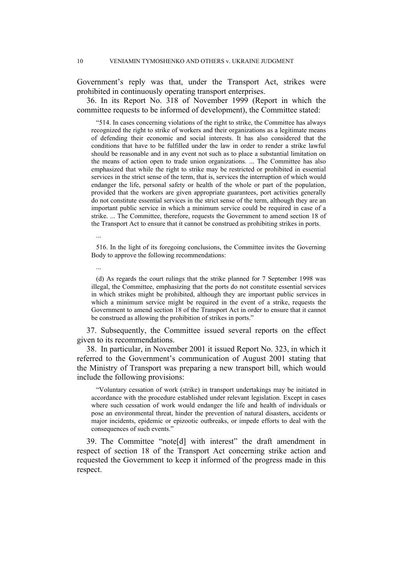Government's reply was that, under the Transport Act, strikes were prohibited in continuously operating transport enterprises.

36. In its Report No. 318 of November 1999 (Report in which the committee requests to be informed of development), the Committee stated:

"514. In cases concerning violations of the right to strike, the Committee has always recognized the right to strike of workers and their organizations as a legitimate means of defending their economic and social interests. It has also considered that the conditions that have to be fulfilled under the law in order to render a strike lawful should be reasonable and in any event not such as to place a substantial limitation on the means of action open to trade union organizations. ... The Committee has also emphasized that while the right to strike may be restricted or prohibited in essential services in the strict sense of the term, that is, services the interruption of which would endanger the life, personal safety or health of the whole or part of the population, provided that the workers are given appropriate guarantees, port activities generally do not constitute essential services in the strict sense of the term, although they are an important public service in which a minimum service could be required in case of a strike. ... The Committee, therefore, requests the Government to amend section 18 of the Transport Act to ensure that it cannot be construed as prohibiting strikes in ports.

516. In the light of its foregoing conclusions, the Committee invites the Governing Body to approve the following recommendations:

(d) As regards the court rulings that the strike planned for 7 September 1998 was illegal, the Committee, emphasizing that the ports do not constitute essential services in which strikes might be prohibited, although they are important public services in which a minimum service might be required in the event of a strike, requests the Government to amend section 18 of the Transport Act in order to ensure that it cannot be construed as allowing the prohibition of strikes in ports."

37. Subsequently, the Committee issued several reports on the effect given to its recommendations.

38. In particular, in November 2001 it issued Report No. 323, in which it referred to the Government's communication of August 2001 stating that the Ministry of Transport was preparing a new transport bill, which would include the following provisions:

"Voluntary cessation of work (strike) in transport undertakings may be initiated in accordance with the procedure established under relevant legislation. Except in cases where such cessation of work would endanger the life and health of individuals or pose an environmental threat, hinder the prevention of natural disasters, accidents or major incidents, epidemic or epizootic outbreaks, or impede efforts to deal with the consequences of such events."

39. The Committee "note[d] with interest" the draft amendment in respect of section 18 of the Transport Act concerning strike action and requested the Government to keep it informed of the progress made in this respect.

...

...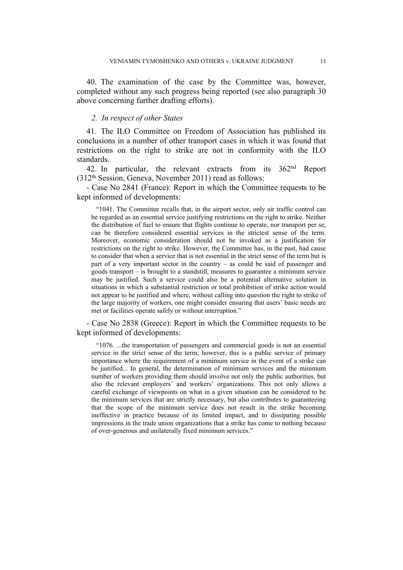40. The examination of the case by the Committee was, however, completed without any such progress being reported (see also paragraph 30 above concerning further drafting efforts).

## *2. In respect of other States*

41. The ILO Committee on Freedom of Association has published its conclusions in a number of other transport cases in which it was found that restrictions on the right to strike are not in conformity with the ILO standards.

42. In particular, the relevant extracts from its 362nd Report (312th Session, Geneva, November 2011) read as follows:

- Case No 2841 (France): Report in which the Committee requests to be kept informed of developments:

"1041. The Committee recalls that, in the airport sector, only air traffic control can be regarded as an essential service justifying restrictions on the right to strike. Neither the distribution of fuel to ensure that flights continue to operate, nor transport per se, can be therefore considered essential services in the strictest sense of the term. Moreover, economic consideration should not be invoked as a justification for restrictions on the right to strike. However, the Committee has, in the past, had cause to consider that when a service that is not essential in the strict sense of the term but is part of a very important sector in the country – as could be said of passenger and goods transport – is brought to a standstill, measures to guarantee a minimum service may be justified. Such a service could also be a potential alternative solution in situations in which a substantial restriction or total prohibition of strike action would not appear to be justified and where, without calling into question the right to strike of the large majority of workers, one might consider ensuring that users' basic needs are met or facilities operate safely or without interruption."

- Case No 2838 (Greece): Report in which the Committee requests to be kept informed of developments:

"1076. ...the transportation of passengers and commercial goods is not an essential service in the strict sense of the term; however, this is a public service of primary importance where the requirement of a minimum service in the event of a strike can be justified... In general, the determination of minimum services and the minimum number of workers providing them should involve not only the public authorities, but also the relevant employers' and workers' organizations. This not only allows a careful exchange of viewpoints on what in a given situation can be considered to be the minimum services that are strictly necessary, but also contributes to guaranteeing that the scope of the minimum service does not result in the strike becoming ineffective in practice because of its limited impact, and to dissipating possible impressions in the trade union organizations that a strike has come to nothing because of over-generous and unilaterally fixed minimum services."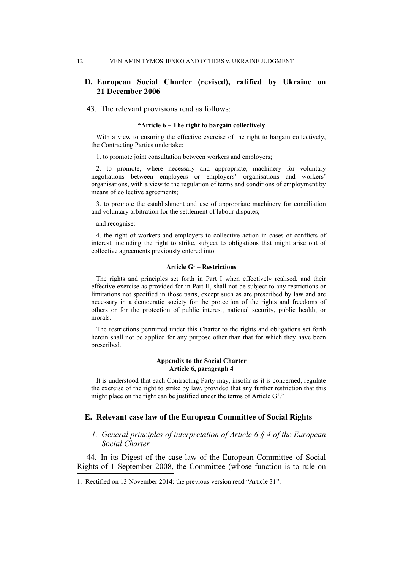# **D. European Social Charter (revised), ratified by Ukraine on 21 December 2006**

### 43. The relevant provisions read as follows:

#### **"Article 6 – The right to bargain collectively**

With a view to ensuring the effective exercise of the right to bargain collectively, the Contracting Parties undertake:

1. to promote joint consultation between workers and employers;

2. to promote, where necessary and appropriate, machinery for voluntary negotiations between employers or employers' organisations and workers' organisations, with a view to the regulation of terms and conditions of employment by means of collective agreements;

3. to promote the establishment and use of appropriate machinery for conciliation and voluntary arbitration for the settlement of labour disputes;

#### and recognise:

4. the right of workers and employers to collective action in cases of conflicts of interest, including the right to strike, subject to obligations that might arise out of collective agreements previously entered into.

## **Article G<sup>1</sup> – Restrictions**

The rights and principles set forth in Part I when effectively realised, and their effective exercise as provided for in Part II, shall not be subject to any restrictions or limitations not specified in those parts, except such as are prescribed by law and are necessary in a democratic society for the protection of the rights and freedoms of others or for the protection of public interest, national security, public health, or morals.

The restrictions permitted under this Charter to the rights and obligations set forth herein shall not be applied for any purpose other than that for which they have been prescribed.

#### **Appendix to the Social Charter Article 6, paragraph 4**

It is understood that each Contracting Party may, insofar as it is concerned, regulate the exercise of the right to strike by law, provided that any further restriction that this might place on the right can be justified under the terms of Article  $G<sup>1</sup>$ ."

### **E. Relevant case law of the European Committee of Social Rights**

# *1. General principles of interpretation of Article 6 § 4 of the European Social Charter*

44. In its Digest of the case-law of the European Committee of Social Rights of 1 September 2008, the Committee (whose function is to rule on

<sup>1.</sup> Rectified on 13 November 2014: the previous version read "Article 31".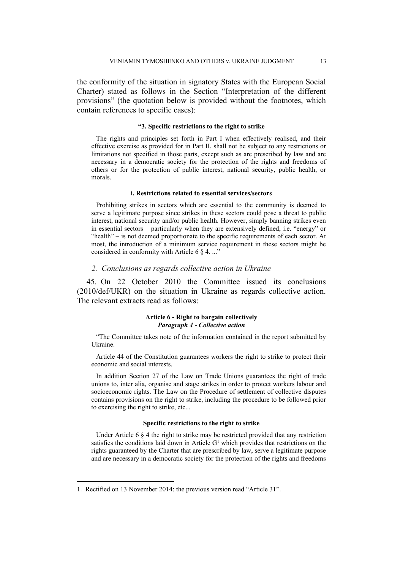the conformity of the situation in signatory States with the European Social Charter) stated as follows in the Section "Interpretation of the different provisions" (the quotation below is provided without the footnotes, which contain references to specific cases):

### **"3. Specific restrictions to the right to strike**

The rights and principles set forth in Part I when effectively realised, and their effective exercise as provided for in Part II, shall not be subject to any restrictions or limitations not specified in those parts, except such as are prescribed by law and are necessary in a democratic society for the protection of the rights and freedoms of others or for the protection of public interest, national security, public health, or morals.

#### **i. Restrictions related to essential services/sectors**

Prohibiting strikes in sectors which are essential to the community is deemed to serve a legitimate purpose since strikes in these sectors could pose a threat to public interest, national security and/or public health. However, simply banning strikes even in essential sectors – particularly when they are extensively defined, i.e. "energy" or "health" – is not deemed proportionate to the specific requirements of each sector. At most, the introduction of a minimum service requirement in these sectors might be considered in conformity with Article 6  $\S$  4. ..."

#### *2. Conclusions as regards collective action in Ukraine*

45. On 22 October 2010 the Committee issued its conclusions (2010/def/UKR) on the situation in Ukraine as regards collective action. The relevant extracts read as follows:

## **Article 6 - Right to bargain collectively** *Paragraph 4 - Collective action*

"The Committee takes note of the information contained in the report submitted by Ukraine.

Article 44 of the Constitution guarantees workers the right to strike to protect their economic and social interests.

In addition Section 27 of the Law on Trade Unions guarantees the right of trade unions to, inter alia, organise and stage strikes in order to protect workers labour and socioeconomic rights. The Law on the Procedure of settlement of collective disputes contains provisions on the right to strike, including the procedure to be followed prior to exercising the right to strike, etc...

#### **Specific restrictions to the right to strike**

Under Article 6  $\S$  4 the right to strike may be restricted provided that any restriction satisfies the conditions laid down in Article  $G<sup>1</sup>$  which provides that restrictions on the rights guaranteed by the Charter that are prescribed by law, serve a legitimate purpose and are necessary in a democratic society for the protection of the rights and freedoms

<sup>1.</sup> Rectified on 13 November 2014: the previous version read "Article 31".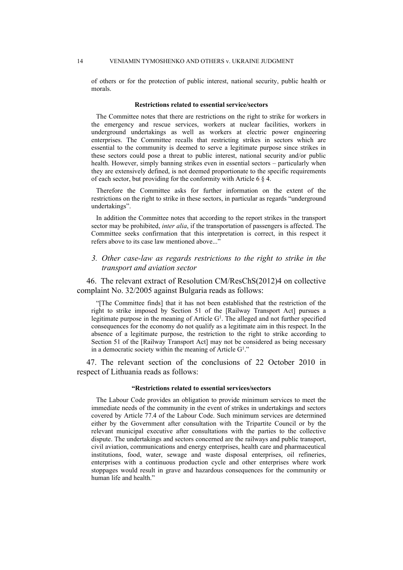#### 14 VENIAMIN TYMOSHENKO AND OTHERS v. UKRAINE JUDGMENT

of others or for the protection of public interest, national security, public health or morals.

#### **Restrictions related to essential service/sectors**

The Committee notes that there are restrictions on the right to strike for workers in the emergency and rescue services, workers at nuclear facilities, workers in underground undertakings as well as workers at electric power engineering enterprises. The Committee recalls that restricting strikes in sectors which are essential to the community is deemed to serve a legitimate purpose since strikes in these sectors could pose a threat to public interest, national security and/or public health. However, simply banning strikes even in essential sectors – particularly when they are extensively defined, is not deemed proportionate to the specific requirements of each sector, but providing for the conformity with Article 6 § 4.

Therefore the Committee asks for further information on the extent of the restrictions on the right to strike in these sectors, in particular as regards "underground undertakings".

In addition the Committee notes that according to the report strikes in the transport sector may be prohibited, *inter alia*, if the transportation of passengers is affected. The Committee seeks confirmation that this interpretation is correct, in this respect it refers above to its case law mentioned above..."

## *3. Other case-law as regards restrictions to the right to strike in the transport and aviation sector*

46. The relevant extract of Resolution CM/ResChS(2012)4 on collective complaint No. 32/2005 against Bulgaria reads as follows:

"[The Committee finds] that it has not been established that the restriction of the right to strike imposed by Section 51 of the [Railway Transport Act] pursues a legitimate purpose in the meaning of Article  $G<sup>1</sup>$ . The alleged and not further specified consequences for the economy do not qualify as a legitimate aim in this respect. In the absence of a legitimate purpose, the restriction to the right to strike according to Section 51 of the [Railway Transport Act] may not be considered as being necessary in a democratic society within the meaning of Article G<sup>1</sup>."

47. The relevant section of the conclusions of 22 October 2010 in respect of Lithuania reads as follows:

#### **"Restrictions related to essential services/sectors**

The Labour Code provides an obligation to provide minimum services to meet the immediate needs of the community in the event of strikes in undertakings and sectors covered by Article 77.4 of the Labour Code. Such minimum services are determined either by the Government after consultation with the Tripartite Council or by the relevant municipal executive after consultations with the parties to the collective dispute. The undertakings and sectors concerned are the railways and public transport, civil aviation, communications and energy enterprises, health care and pharmaceutical institutions, food, water, sewage and waste disposal enterprises, oil refineries, enterprises with a continuous production cycle and other enterprises where work stoppages would result in grave and hazardous consequences for the community or human life and health."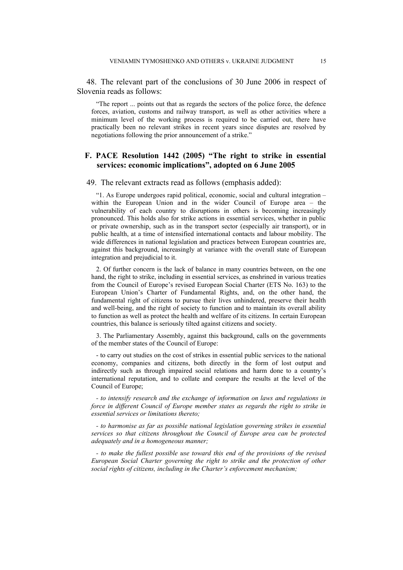48. The relevant part of the conclusions of 30 June 2006 in respect of Slovenia reads as follows:

"The report ... points out that as regards the sectors of the police force, the defence forces, aviation, customs and railway transport, as well as other activities where a minimum level of the working process is required to be carried out, there have practically been no relevant strikes in recent years since disputes are resolved by negotiations following the prior announcement of a strike."

# **F. PACE Resolution 1442 (2005) "The right to strike in essential services: economic implications", adopted on 6 June 2005**

#### 49. The relevant extracts read as follows (emphasis added):

"1. As Europe undergoes rapid political, economic, social and cultural integration – within the European Union and in the wider Council of Europe area – the vulnerability of each country to disruptions in others is becoming increasingly pronounced. This holds also for strike actions in essential services, whether in public or private ownership, such as in the transport sector (especially air transport), or in public health, at a time of intensified international contacts and labour mobility. The wide differences in national legislation and practices between European countries are, against this background, increasingly at variance with the overall state of European integration and prejudicial to it.

2. Of further concern is the lack of balance in many countries between, on the one hand, the right to strike, including in essential services, as enshrined in various treaties from the Council of Europe's revised European Social Charter (ETS No. 163) to the European Union's Charter of Fundamental Rights, and, on the other hand, the fundamental right of citizens to pursue their lives unhindered, preserve their health and well-being, and the right of society to function and to maintain its overall ability to function as well as protect the health and welfare of its citizens. In certain European countries, this balance is seriously tilted against citizens and society.

3. The Parliamentary Assembly, against this background, calls on the governments of the member states of the Council of Europe:

- to carry out studies on the cost of strikes in essential public services to the national economy, companies and citizens, both directly in the form of lost output and indirectly such as through impaired social relations and harm done to a country's international reputation, and to collate and compare the results at the level of the Council of Europe;

*- to intensify research and the exchange of information on laws and regulations in force in different Council of Europe member states as regards the right to strike in essential services or limitations thereto;*

*- to harmonise as far as possible national legislation governing strikes in essential services so that citizens throughout the Council of Europe area can be protected adequately and in a homogeneous manner;*

*- to make the fullest possible use toward this end of the provisions of the revised European Social Charter governing the right to strike and the protection of other social rights of citizens, including in the Charter's enforcement mechanism;*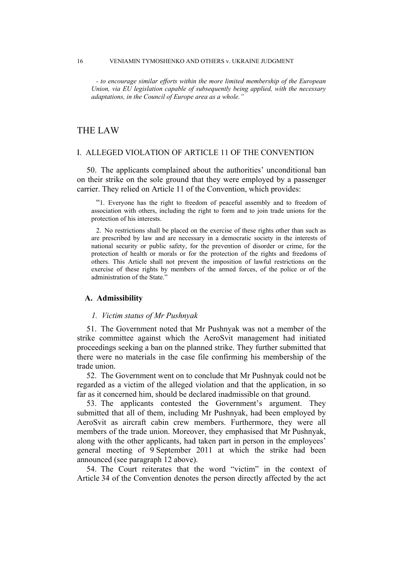*- to encourage similar efforts within the more limited membership of the European Union, via EU legislation capable of subsequently being applied, with the necessary adaptations, in the Council of Europe area as a whole."*

# THE LAW

## I. ALLEGED VIOLATION OF ARTICLE 11 OF THE CONVENTION

50. The applicants complained about the authorities' unconditional ban on their strike on the sole ground that they were employed by a passenger carrier. They relied on Article 11 of the Convention, which provides:

"1. Everyone has the right to freedom of peaceful assembly and to freedom of association with others, including the right to form and to join trade unions for the protection of his interests.

2. No restrictions shall be placed on the exercise of these rights other than such as are prescribed by law and are necessary in a democratic society in the interests of national security or public safety, for the prevention of disorder or crime, for the protection of health or morals or for the protection of the rights and freedoms of others. This Article shall not prevent the imposition of lawful restrictions on the exercise of these rights by members of the armed forces, of the police or of the administration of the State.'

#### **A. Admissibility**

## *1. Victim status of Mr Pushnyak*

51. The Government noted that Mr Pushnyak was not a member of the strike committee against which the AeroSvit management had initiated proceedings seeking a ban on the planned strike. They further submitted that there were no materials in the case file confirming his membership of the trade union.

52. The Government went on to conclude that Mr Pushnyak could not be regarded as a victim of the alleged violation and that the application, in so far as it concerned him, should be declared inadmissible on that ground.

53. The applicants contested the Government's argument. They submitted that all of them, including Mr Pushnyak, had been employed by AeroSvit as aircraft cabin crew members. Furthermore, they were all members of the trade union. Moreover, they emphasised that Mr Pushnyak, along with the other applicants, had taken part in person in the employees' general meeting of 9 September 2011 at which the strike had been announced (see paragraph 12 above).

54. The Court reiterates that the word "victim" in the context of Article 34 of the Convention denotes the person directly affected by the act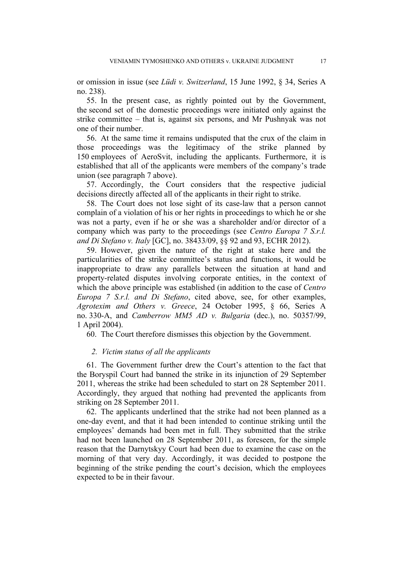or omission in issue (see *Lüdi v. Switzerland*, 15 June 1992, § 34, Series A no. 238).

55. In the present case, as rightly pointed out by the Government, the second set of the domestic proceedings were initiated only against the strike committee – that is, against six persons, and Mr Pushnyak was not one of their number.

56. At the same time it remains undisputed that the crux of the claim in those proceedings was the legitimacy of the strike planned by 150 employees of AeroSvit, including the applicants. Furthermore, it is established that all of the applicants were members of the company's trade union (see paragraph 7 above).

57. Accordingly, the Court considers that the respective judicial decisions directly affected all of the applicants in their right to strike.

58. The Court does not lose sight of its case-law that a person cannot complain of a violation of his or her rights in proceedings to which he or she was not a party, even if he or she was a shareholder and/or director of a company which was party to the proceedings (see *Centro Europa 7 S.r.l. and Di Stefano v. Italy* [GC], no. 38433/09, §§ 92 and 93, ECHR 2012).

59. However, given the nature of the right at stake here and the particularities of the strike committee's status and functions, it would be inappropriate to draw any parallels between the situation at hand and property-related disputes involving corporate entities, in the context of which the above principle was established (in addition to the case of *Centro Europa 7 S.r.l. and Di Stefano*, cited above, see, for other examples, *Agrotexim and Others v. Greece*, 24 October 1995, § 66, Series A no. 330-A, and *Camberrow MM5 AD v. Bulgaria* (dec.), no. 50357/99, 1 April 2004).

60. The Court therefore dismisses this objection by the Government.

## *2. Victim status of all the applicants*

61. The Government further drew the Court's attention to the fact that the Boryspil Court had banned the strike in its injunction of 29 September 2011, whereas the strike had been scheduled to start on 28 September 2011. Accordingly, they argued that nothing had prevented the applicants from striking on 28 September 2011.

62. The applicants underlined that the strike had not been planned as a one-day event, and that it had been intended to continue striking until the employees' demands had been met in full. They submitted that the strike had not been launched on 28 September 2011, as foreseen, for the simple reason that the Darnytskyy Court had been due to examine the case on the morning of that very day. Accordingly, it was decided to postpone the beginning of the strike pending the court's decision, which the employees expected to be in their favour.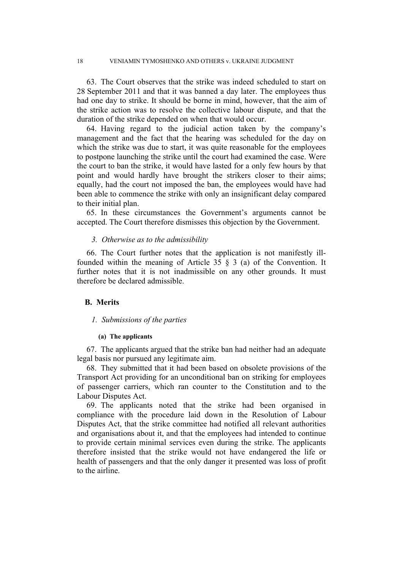63. The Court observes that the strike was indeed scheduled to start on 28 September 2011 and that it was banned a day later. The employees thus had one day to strike. It should be borne in mind, however, that the aim of the strike action was to resolve the collective labour dispute, and that the duration of the strike depended on when that would occur.

64. Having regard to the judicial action taken by the company's management and the fact that the hearing was scheduled for the day on which the strike was due to start, it was quite reasonable for the employees to postpone launching the strike until the court had examined the case. Were the court to ban the strike, it would have lasted for a only few hours by that point and would hardly have brought the strikers closer to their aims; equally, had the court not imposed the ban, the employees would have had been able to commence the strike with only an insignificant delay compared to their initial plan.

65. In these circumstances the Government's arguments cannot be accepted. The Court therefore dismisses this objection by the Government.

#### *3. Otherwise as to the admissibility*

66. The Court further notes that the application is not manifestly illfounded within the meaning of Article 35 § 3 (a) of the Convention. It further notes that it is not inadmissible on any other grounds. It must therefore be declared admissible.

## **B. Merits**

#### *1. Submissions of the parties*

## **(a) The applicants**

67. The applicants argued that the strike ban had neither had an adequate legal basis nor pursued any legitimate aim.

68. They submitted that it had been based on obsolete provisions of the Transport Act providing for an unconditional ban on striking for employees of passenger carriers, which ran counter to the Constitution and to the Labour Disputes Act.

69. The applicants noted that the strike had been organised in compliance with the procedure laid down in the Resolution of Labour Disputes Act, that the strike committee had notified all relevant authorities and organisations about it, and that the employees had intended to continue to provide certain minimal services even during the strike. The applicants therefore insisted that the strike would not have endangered the life or health of passengers and that the only danger it presented was loss of profit to the airline.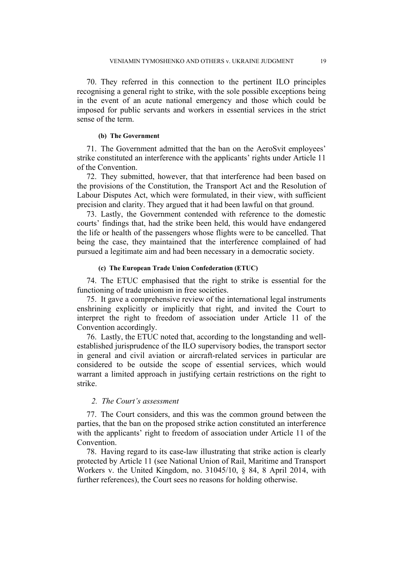70. They referred in this connection to the pertinent ILO principles recognising a general right to strike, with the sole possible exceptions being in the event of an acute national emergency and those which could be imposed for public servants and workers in essential services in the strict sense of the term.

#### **(b) The Government**

71. The Government admitted that the ban on the AeroSvit employees' strike constituted an interference with the applicants' rights under Article 11 of the Convention.

72. They submitted, however, that that interference had been based on the provisions of the Constitution, the Transport Act and the Resolution of Labour Disputes Act, which were formulated, in their view, with sufficient precision and clarity. They argued that it had been lawful on that ground.

73. Lastly, the Government contended with reference to the domestic courts' findings that, had the strike been held, this would have endangered the life or health of the passengers whose flights were to be cancelled. That being the case, they maintained that the interference complained of had pursued a legitimate aim and had been necessary in a democratic society.

#### **(c) The European Trade Union Confederation (ETUC)**

74. The ETUC emphasised that the right to strike is essential for the functioning of trade unionism in free societies.

75. It gave a comprehensive review of the international legal instruments enshrining explicitly or implicitly that right, and invited the Court to interpret the right to freedom of association under Article 11 of the Convention accordingly.

76. Lastly, the ETUC noted that, according to the longstanding and wellestablished jurisprudence of the ILO supervisory bodies, the transport sector in general and civil aviation or aircraft-related services in particular are considered to be outside the scope of essential services, which would warrant a limited approach in justifying certain restrictions on the right to strike.

## *2. The Court's assessment*

77. The Court considers, and this was the common ground between the parties, that the ban on the proposed strike action constituted an interference with the applicants' right to freedom of association under Article 11 of the Convention.

78. Having regard to its case-law illustrating that strike action is clearly protected by Article 11 (see National Union of Rail, Maritime and Transport Workers v. the United Kingdom, no. 31045/10, § 84, 8 April 2014, with further references), the Court sees no reasons for holding otherwise.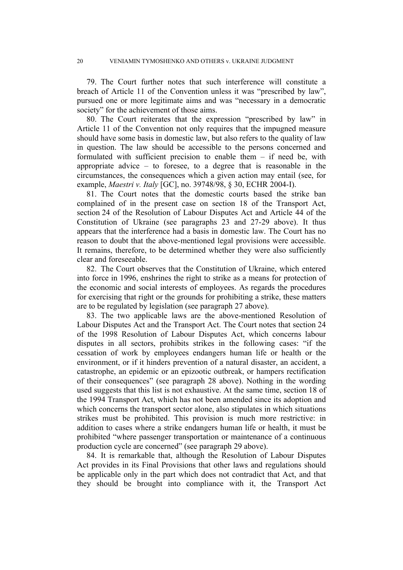79. The Court further notes that such interference will constitute a breach of Article 11 of the Convention unless it was "prescribed by law", pursued one or more legitimate aims and was "necessary in a democratic society" for the achievement of those aims.

80. The Court reiterates that the expression "prescribed by law" in Article 11 of the Convention not only requires that the impugned measure should have some basis in domestic law, but also refers to the quality of law in question. The law should be accessible to the persons concerned and formulated with sufficient precision to enable them – if need be, with appropriate advice  $-$  to foresee, to a degree that is reasonable in the circumstances, the consequences which a given action may entail (see, for example, *Maestri v. Italy* [GC], no. 39748/98, § 30, ECHR 2004-I).

81. The Court notes that the domestic courts based the strike ban complained of in the present case on section 18 of the Transport Act, section 24 of the Resolution of Labour Disputes Act and Article 44 of the Constitution of Ukraine (see paragraphs 23 and 27-29 above). It thus appears that the interference had a basis in domestic law. The Court has no reason to doubt that the above-mentioned legal provisions were accessible. It remains, therefore, to be determined whether they were also sufficiently clear and foreseeable.

82. The Court observes that the Constitution of Ukraine, which entered into force in 1996, enshrines the right to strike as a means for protection of the economic and social interests of employees. As regards the procedures for exercising that right or the grounds for prohibiting a strike, these matters are to be regulated by legislation (see paragraph 27 above).

83. The two applicable laws are the above-mentioned Resolution of Labour Disputes Act and the Transport Act. The Court notes that section 24 of the 1998 Resolution of Labour Disputes Act, which concerns labour disputes in all sectors, prohibits strikes in the following cases: "if the cessation of work by employees endangers human life or health or the environment, or if it hinders prevention of a natural disaster, an accident, a catastrophe, an epidemic or an epizootic outbreak, or hampers rectification of their consequences" (see paragraph 28 above). Nothing in the wording used suggests that this list is not exhaustive. At the same time, section 18 of the 1994 Transport Act, which has not been amended since its adoption and which concerns the transport sector alone, also stipulates in which situations strikes must be prohibited. This provision is much more restrictive: in addition to cases where a strike endangers human life or health, it must be prohibited "where passenger transportation or maintenance of a continuous production cycle are concerned" (see paragraph 29 above).

84. It is remarkable that, although the Resolution of Labour Disputes Act provides in its Final Provisions that other laws and regulations should be applicable only in the part which does not contradict that Act, and that they should be brought into compliance with it, the Transport Act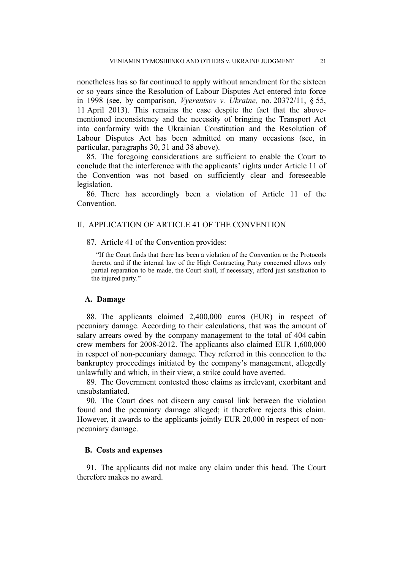nonetheless has so far continued to apply without amendment for the sixteen or so years since the Resolution of Labour Disputes Act entered into force in 1998 (see, by comparison, *Vyerentsov v. Ukraine,* no. 20372/11, § 55, 11 April 2013). This remains the case despite the fact that the abovementioned inconsistency and the necessity of bringing the Transport Act into conformity with the Ukrainian Constitution and the Resolution of Labour Disputes Act has been admitted on many occasions (see, in particular, paragraphs 30, 31 and 38 above).

85. The foregoing considerations are sufficient to enable the Court to conclude that the interference with the applicants' rights under Article 11 of the Convention was not based on sufficiently clear and foreseeable legislation.

86. There has accordingly been a violation of Article 11 of the Convention.

## II. APPLICATION OF ARTICLE 41 OF THE CONVENTION

87. Article 41 of the Convention provides:

"If the Court finds that there has been a violation of the Convention or the Protocols thereto, and if the internal law of the High Contracting Party concerned allows only partial reparation to be made, the Court shall, if necessary, afford just satisfaction to the injured party."

## **A. Damage**

88. The applicants claimed 2,400,000 euros (EUR) in respect of pecuniary damage. According to their calculations, that was the amount of salary arrears owed by the company management to the total of 404 cabin crew members for 2008-2012. The applicants also claimed EUR 1,600,000 in respect of non-pecuniary damage. They referred in this connection to the bankruptcy proceedings initiated by the company's management, allegedly unlawfully and which, in their view, a strike could have averted.

89. The Government contested those claims as irrelevant, exorbitant and unsubstantiated.

90. The Court does not discern any causal link between the violation found and the pecuniary damage alleged; it therefore rejects this claim. However, it awards to the applicants jointly EUR 20,000 in respect of nonpecuniary damage.

### **B. Costs and expenses**

91. The applicants did not make any claim under this head. The Court therefore makes no award.